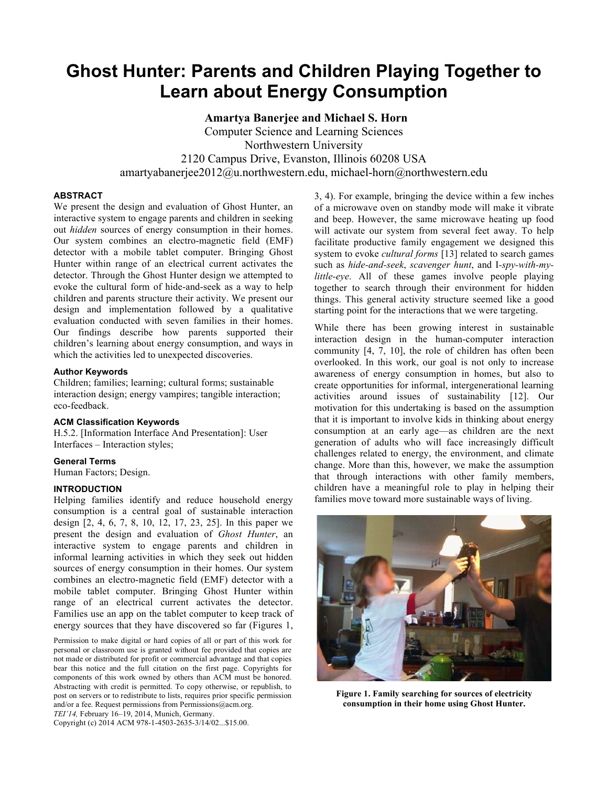# **Ghost Hunter: Parents and Children Playing Together to Learn about Energy Consumption**

**Amartya Banerjee and Michael S. Horn**

Computer Science and Learning Sciences

Northwestern University

2120 Campus Drive, Evanston, Illinois 60208 USA

amartyabanerjee2012@u.northwestern.edu, michael-horn@northwestern.edu

# **ABSTRACT**

We present the design and evaluation of Ghost Hunter, an interactive system to engage parents and children in seeking out *hidden* sources of energy consumption in their homes. Our system combines an electro-magnetic field (EMF) detector with a mobile tablet computer. Bringing Ghost Hunter within range of an electrical current activates the detector. Through the Ghost Hunter design we attempted to evoke the cultural form of hide-and-seek as a way to help children and parents structure their activity. We present our design and implementation followed by a qualitative evaluation conducted with seven families in their homes. Our findings describe how parents supported their children's learning about energy consumption, and ways in which the activities led to unexpected discoveries.

# **Author Keywords**

Children; families; learning; cultural forms; sustainable interaction design; energy vampires; tangible interaction; eco-feedback.

# **ACM Classification Keywords**

H.5.2. [Information Interface And Presentation]: User Interfaces – Interaction styles;

# **General Terms**

Human Factors; Design.

# **INTRODUCTION**

Helping families identify and reduce household energy consumption is a central goal of sustainable interaction design [2, 4, 6, 7, 8, 10, 12, 17, 23, 25]. In this paper we present the design and evaluation of *Ghost Hunter*, an interactive system to engage parents and children in informal learning activities in which they seek out hidden sources of energy consumption in their homes. Our system combines an electro-magnetic field (EMF) detector with a mobile tablet computer. Bringing Ghost Hunter within range of an electrical current activates the detector. Families use an app on the tablet computer to keep track of energy sources that they have discovered so far (Figures 1,

Permission to make digital or hard copies of all or part of this work for personal or classroom use is granted without fee provided that copies are not made or distributed for profit or commercial advantage and that copies bear this notice and the full citation on the first page. Copyrights for components of this work owned by others than ACM must be honored. Abstracting with credit is permitted. To copy otherwise, or republish, to post on servers or to redistribute to lists, requires prior specific permission and/or a fee. Request permissions from Permissions@acm.org.

*TEI'14,* February 16–19, 2014, Munich, Germany.

Copyright (c) 2014 ACM 978-1-4503-2635-3/14/02...\$15.00.

3, 4). For example, bringing the device within a few inches of a microwave oven on standby mode will make it vibrate and beep. However, the same microwave heating up food will activate our system from several feet away. To help facilitate productive family engagement we designed this system to evoke *cultural forms* [13] related to search games such as *hide-and-seek*, *scavenger hunt*, and I*-spy-with-mylittle-eye*. All of these games involve people playing together to search through their environment for hidden things. This general activity structure seemed like a good starting point for the interactions that we were targeting.

While there has been growing interest in sustainable interaction design in the human-computer interaction community [4, 7, 10], the role of children has often been overlooked. In this work, our goal is not only to increase awareness of energy consumption in homes, but also to create opportunities for informal, intergenerational learning activities around issues of sustainability [12]. Our motivation for this undertaking is based on the assumption that it is important to involve kids in thinking about energy consumption at an early age—as children are the next generation of adults who will face increasingly difficult challenges related to energy, the environment, and climate change. More than this, however, we make the assumption that through interactions with other family members, children have a meaningful role to play in helping their families move toward more sustainable ways of living.



**Figure 1. Family searching for sources of electricity consumption in their home using Ghost Hunter.**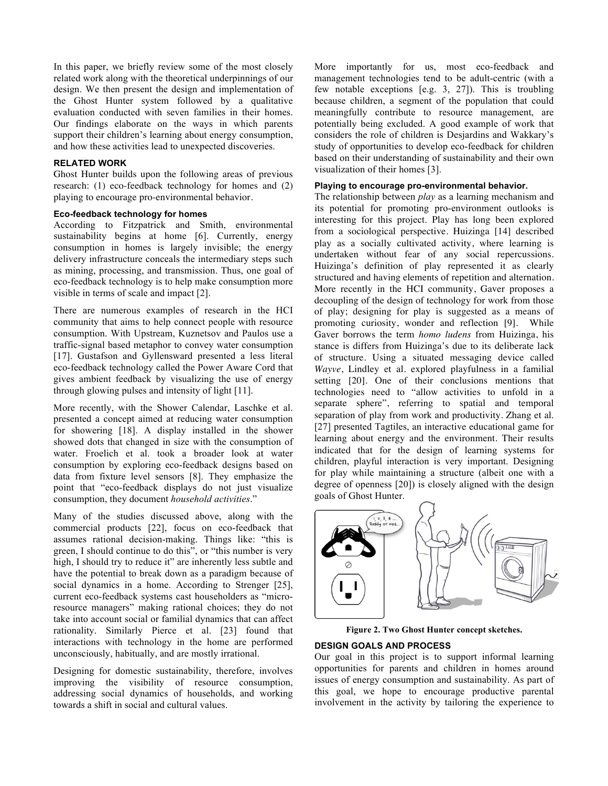In this paper, we briefly review some of the most closely related work along with the theoretical underpinnings of our design. We then present the design and implementation of the Ghost Hunter system followed by a qualitative evaluation conducted with seven families in their homes. Our findings elaborate on the ways in which parents support their children's learning about energy consumption, and how these activities lead to unexpected discoveries.

## **RELATED WORK**

Ghost Hunter builds upon the following areas of previous research: (1) eco-feedback technology for homes and (2) playing to encourage pro-environmental behavior.

#### **Eco-feedback technology for homes**

According to Fitzpatrick and Smith, environmental sustainability begins at home [6]. Currently, energy consumption in homes is largely invisible; the energy delivery infrastructure conceals the intermediary steps such as mining, processing, and transmission. Thus, one goal of eco-feedback technology is to help make consumption more visible in terms of scale and impact [2].

There are numerous examples of research in the HCI community that aims to help connect people with resource consumption. With Upstream, Kuznetsov and Paulos use a traffic-signal based metaphor to convey water consumption [17]. Gustafson and Gyllensward presented a less literal eco-feedback technology called the Power Aware Cord that gives ambient feedback by visualizing the use of energy through glowing pulses and intensity of light [11].

More recently, with the Shower Calendar, Laschke et al. presented a concept aimed at reducing water consumption for showering [18]. A display installed in the shower showed dots that changed in size with the consumption of water. Froelich et al. took a broader look at water consumption by exploring eco-feedback designs based on data from fixture level sensors [8]. They emphasize the point that "eco-feedback displays do not just visualize consumption, they document *household activities*."

Many of the studies discussed above, along with the commercial products [22], focus on eco-feedback that assumes rational decision-making. Things like: "this is green, I should continue to do this", or "this number is very high, I should try to reduce it" are inherently less subtle and have the potential to break down as a paradigm because of social dynamics in a home. According to Strenger [25], current eco-feedback systems cast householders as "microresource managers" making rational choices; they do not take into account social or familial dynamics that can affect rationality. Similarly Pierce et al. [23] found that interactions with technology in the home are performed unconsciously, habitually, and are mostly irrational.

Designing for domestic sustainability, therefore, involves improving the visibility of resource consumption, addressing social dynamics of households, and working towards a shift in social and cultural values.

More importantly for us, most eco-feedback and management technologies tend to be adult-centric (with a few notable exceptions [e.g. 3, 27]). This is troubling because children, a segment of the population that could meaningfully contribute to resource management, are potentially being excluded. A good example of work that considers the role of children is Desjardins and Wakkary's study of opportunities to develop eco-feedback for children based on their understanding of sustainability and their own visualization of their homes [3].

# **Playing to encourage pro-environmental behavior.**

The relationship between *play* as a learning mechanism and its potential for promoting pro-environment outlooks is interesting for this project. Play has long been explored from a sociological perspective. Huizinga [14] described play as a socially cultivated activity, where learning is undertaken without fear of any social repercussions. Huizinga's definition of play represented it as clearly structured and having elements of repetition and alternation. More recently in the HCI community, Gaver proposes a decoupling of the design of technology for work from those of play; designing for play is suggested as a means of promoting curiosity, wonder and reflection [9]. While Gaver borrows the term *homo ludens* from Huizinga, his stance is differs from Huizinga's due to its deliberate lack of structure. Using a situated messaging device called *Wayve*, Lindley et al. explored playfulness in a familial setting [20]. One of their conclusions mentions that technologies need to "allow activities to unfold in a separate sphere", referring to spatial and temporal separation of play from work and productivity. Zhang et al. [27] presented Tagtiles, an interactive educational game for learning about energy and the environment. Their results indicated that for the design of learning systems for children, playful interaction is very important. Designing for play while maintaining a structure (albeit one with a degree of openness [20]) is closely aligned with the design goals of Ghost Hunter.



**Figure 2. Two Ghost Hunter concept sketches.**

# **DESIGN GOALS AND PROCESS**

Our goal in this project is to support informal learning opportunities for parents and children in homes around issues of energy consumption and sustainability. As part of this goal, we hope to encourage productive parental involvement in the activity by tailoring the experience to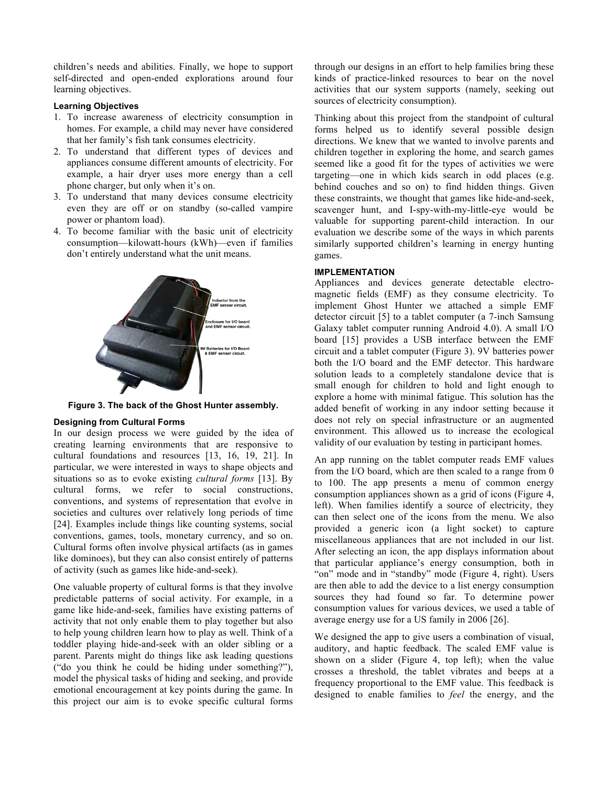children's needs and abilities. Finally, we hope to support self-directed and open-ended explorations around four learning objectives.

# **Learning Objectives**

- 1. To increase awareness of electricity consumption in homes. For example, a child may never have considered that her family's fish tank consumes electricity.
- 2. To understand that different types of devices and appliances consume different amounts of electricity. For example, a hair dryer uses more energy than a cell phone charger, but only when it's on.
- 3. To understand that many devices consume electricity even they are off or on standby (so-called vampire power or phantom load).
- 4. To become familiar with the basic unit of electricity consumption—kilowatt-hours (kWh)—even if families don't entirely understand what the unit means.



**Figure 3. The back of the Ghost Hunter assembly.**

## **Designing from Cultural Forms**

In our design process we were guided by the idea of creating learning environments that are responsive to cultural foundations and resources [13, 16, 19, 21]. In particular, we were interested in ways to shape objects and situations so as to evoke existing *cultural forms* [13]. By cultural forms, we refer to social constructions, conventions, and systems of representation that evolve in societies and cultures over relatively long periods of time [24]. Examples include things like counting systems, social conventions, games, tools, monetary currency, and so on. Cultural forms often involve physical artifacts (as in games like dominoes), but they can also consist entirely of patterns of activity (such as games like hide-and-seek).

One valuable property of cultural forms is that they involve predictable patterns of social activity. For example, in a game like hide-and-seek, families have existing patterns of activity that not only enable them to play together but also to help young children learn how to play as well. Think of a toddler playing hide-and-seek with an older sibling or a parent. Parents might do things like ask leading questions ("do you think he could be hiding under something?"), model the physical tasks of hiding and seeking, and provide emotional encouragement at key points during the game. In this project our aim is to evoke specific cultural forms

through our designs in an effort to help families bring these kinds of practice-linked resources to bear on the novel activities that our system supports (namely, seeking out sources of electricity consumption).

Thinking about this project from the standpoint of cultural forms helped us to identify several possible design directions. We knew that we wanted to involve parents and children together in exploring the home, and search games seemed like a good fit for the types of activities we were targeting—one in which kids search in odd places (e.g. behind couches and so on) to find hidden things. Given these constraints, we thought that games like hide-and-seek, scavenger hunt, and I-spy-with-my-little-eye would be valuable for supporting parent-child interaction. In our evaluation we describe some of the ways in which parents similarly supported children's learning in energy hunting games.

# **IMPLEMENTATION**

Appliances and devices generate detectable electromagnetic fields (EMF) as they consume electricity. To implement Ghost Hunter we attached a simple EMF detector circuit [5] to a tablet computer (a 7-inch Samsung Galaxy tablet computer running Android 4.0). A small I/O board [15] provides a USB interface between the EMF circuit and a tablet computer (Figure 3). 9V batteries power both the I/O board and the EMF detector. This hardware solution leads to a completely standalone device that is small enough for children to hold and light enough to explore a home with minimal fatigue. This solution has the added benefit of working in any indoor setting because it does not rely on special infrastructure or an augmented environment. This allowed us to increase the ecological validity of our evaluation by testing in participant homes.

An app running on the tablet computer reads EMF values from the I/O board, which are then scaled to a range from 0 to 100. The app presents a menu of common energy consumption appliances shown as a grid of icons (Figure 4, left). When families identify a source of electricity, they can then select one of the icons from the menu. We also provided a generic icon (a light socket) to capture miscellaneous appliances that are not included in our list. After selecting an icon, the app displays information about that particular appliance's energy consumption, both in "on" mode and in "standby" mode (Figure 4, right). Users are then able to add the device to a list energy consumption sources they had found so far. To determine power consumption values for various devices, we used a table of average energy use for a US family in 2006 [26].

We designed the app to give users a combination of visual, auditory, and haptic feedback. The scaled EMF value is shown on a slider (Figure 4, top left); when the value crosses a threshold, the tablet vibrates and beeps at a frequency proportional to the EMF value. This feedback is designed to enable families to *feel* the energy, and the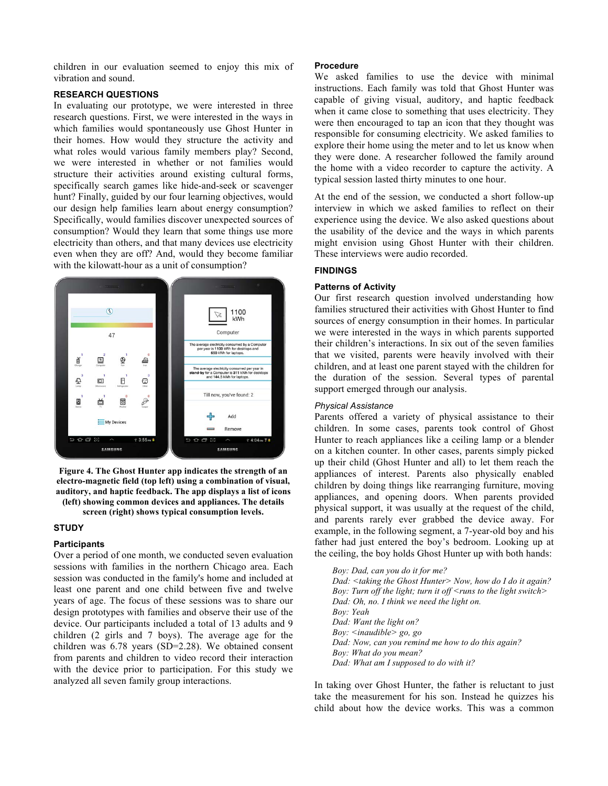children in our evaluation seemed to enjoy this mix of vibration and sound.

## **RESEARCH QUESTIONS**

In evaluating our prototype, we were interested in three research questions. First, we were interested in the ways in which families would spontaneously use Ghost Hunter in their homes. How would they structure the activity and what roles would various family members play? Second, we were interested in whether or not families would structure their activities around existing cultural forms, specifically search games like hide-and-seek or scavenger hunt? Finally, guided by our four learning objectives, would our design help families learn about energy consumption? Specifically, would families discover unexpected sources of consumption? Would they learn that some things use more electricity than others, and that many devices use electricity even when they are off? And, would they become familiar with the kilowatt-hour as a unit of consumption?



**Figure 4. The Ghost Hunter app indicates the strength of an electro-magnetic field (top left) using a combination of visual, auditory, and haptic feedback. The app displays a list of icons (left) showing common devices and appliances. The details screen (right) shows typical consumption levels.**

#### **STUDY**

#### **Participants**

Over a period of one month, we conducted seven evaluation sessions with families in the northern Chicago area. Each session was conducted in the family's home and included at least one parent and one child between five and twelve years of age. The focus of these sessions was to share our design prototypes with families and observe their use of the device. Our participants included a total of 13 adults and 9 children (2 girls and 7 boys). The average age for the children was 6.78 years (SD=2.28). We obtained consent from parents and children to video record their interaction with the device prior to participation. For this study we analyzed all seven family group interactions.

#### **Procedure**

We asked families to use the device with minimal instructions. Each family was told that Ghost Hunter was capable of giving visual, auditory, and haptic feedback when it came close to something that uses electricity. They were then encouraged to tap an icon that they thought was responsible for consuming electricity. We asked families to explore their home using the meter and to let us know when they were done. A researcher followed the family around the home with a video recorder to capture the activity. A typical session lasted thirty minutes to one hour.

At the end of the session, we conducted a short follow-up interview in which we asked families to reflect on their experience using the device. We also asked questions about the usability of the device and the ways in which parents might envision using Ghost Hunter with their children. These interviews were audio recorded.

#### **FINDINGS**

#### **Patterns of Activity**

Our first research question involved understanding how families structured their activities with Ghost Hunter to find sources of energy consumption in their homes. In particular we were interested in the ways in which parents supported their children's interactions. In six out of the seven families that we visited, parents were heavily involved with their children, and at least one parent stayed with the children for the duration of the session. Several types of parental support emerged through our analysis.

#### *Physical Assistance*

Parents offered a variety of physical assistance to their children. In some cases, parents took control of Ghost Hunter to reach appliances like a ceiling lamp or a blender on a kitchen counter. In other cases, parents simply picked up their child (Ghost Hunter and all) to let them reach the appliances of interest. Parents also physically enabled children by doing things like rearranging furniture, moving appliances, and opening doors. When parents provided physical support, it was usually at the request of the child, and parents rarely ever grabbed the device away. For example, in the following segment, a 7-year-old boy and his father had just entered the boy's bedroom. Looking up at the ceiling, the boy holds Ghost Hunter up with both hands:

*Boy: Dad, can you do it for me? Dad: <taking the Ghost Hunter> Now, how do I do it again? Boy: Turn off the light; turn it off <runs to the light switch> Dad: Oh, no. I think we need the light on. Boy: Yeah Dad: Want the light on? Boy: <inaudible> go, go Dad: Now, can you remind me how to do this again? Boy: What do you mean? Dad: What am I supposed to do with it?*

In taking over Ghost Hunter, the father is reluctant to just take the measurement for his son. Instead he quizzes his child about how the device works. This was a common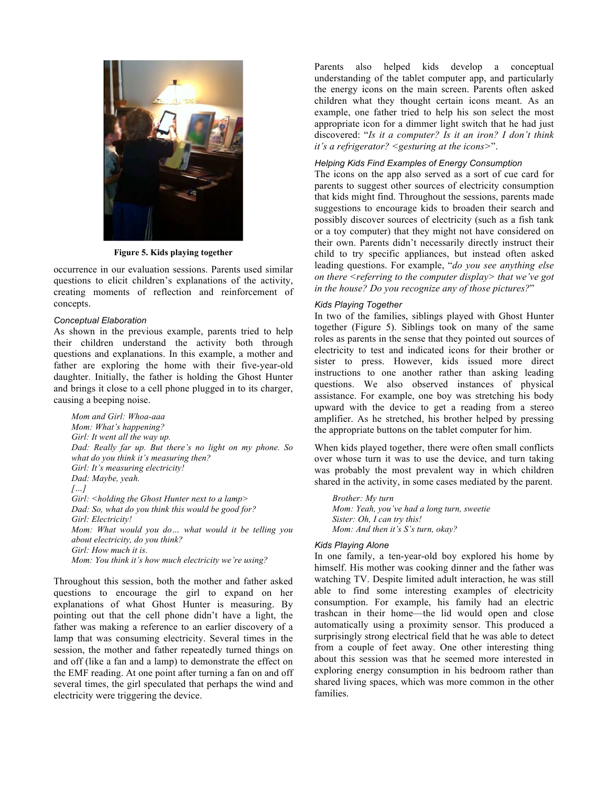

**Figure 5. Kids playing together**

occurrence in our evaluation sessions. Parents used similar questions to elicit children's explanations of the activity, creating moments of reflection and reinforcement of concepts.

#### *Conceptual Elaboration*

As shown in the previous example, parents tried to help their children understand the activity both through questions and explanations. In this example, a mother and father are exploring the home with their five-year-old daughter. Initially, the father is holding the Ghost Hunter and brings it close to a cell phone plugged in to its charger, causing a beeping noise.

*Mom and Girl: Whoa-aaa Mom: What's happening? Girl: It went all the way up. Dad: Really far up. But there's no light on my phone. So what do you think it's measuring then? Girl: It's measuring electricity! Dad: Maybe, yeah. […] Girl: <holding the Ghost Hunter next to a lamp> Dad: So, what do you think this would be good for? Girl: Electricity! Mom: What would you do… what would it be telling you about electricity, do you think? Girl: How much it is. Mom: You think it's how much electricity we're using?*

Throughout this session, both the mother and father asked questions to encourage the girl to expand on her explanations of what Ghost Hunter is measuring. By pointing out that the cell phone didn't have a light, the father was making a reference to an earlier discovery of a lamp that was consuming electricity. Several times in the session, the mother and father repeatedly turned things on and off (like a fan and a lamp) to demonstrate the effect on the EMF reading. At one point after turning a fan on and off several times, the girl speculated that perhaps the wind and electricity were triggering the device.

Parents also helped kids develop a conceptual understanding of the tablet computer app, and particularly the energy icons on the main screen. Parents often asked children what they thought certain icons meant. As an example, one father tried to help his son select the most appropriate icon for a dimmer light switch that he had just discovered: "*Is it a computer? Is it an iron? I don't think it's a refrigerator? <gesturing at the icons>*".

## *Helping Kids Find Examples of Energy Consumption*

The icons on the app also served as a sort of cue card for parents to suggest other sources of electricity consumption that kids might find. Throughout the sessions, parents made suggestions to encourage kids to broaden their search and possibly discover sources of electricity (such as a fish tank or a toy computer) that they might not have considered on their own. Parents didn't necessarily directly instruct their child to try specific appliances, but instead often asked leading questions. For example, "*do you see anything else on there <referring to the computer display> that we've got in the house? Do you recognize any of those pictures?*"

# *Kids Playing Together*

In two of the families, siblings played with Ghost Hunter together (Figure 5). Siblings took on many of the same roles as parents in the sense that they pointed out sources of electricity to test and indicated icons for their brother or sister to press. However, kids issued more direct instructions to one another rather than asking leading questions. We also observed instances of physical assistance. For example, one boy was stretching his body upward with the device to get a reading from a stereo amplifier. As he stretched, his brother helped by pressing the appropriate buttons on the tablet computer for him.

When kids played together, there were often small conflicts over whose turn it was to use the device, and turn taking was probably the most prevalent way in which children shared in the activity, in some cases mediated by the parent.

*Brother: My turn Mom: Yeah, you've had a long turn, sweetie Sister: Oh, I can try this! Mom: And then it's S's turn, okay?*

## *Kids Playing Alone*

In one family, a ten-year-old boy explored his home by himself. His mother was cooking dinner and the father was watching TV. Despite limited adult interaction, he was still able to find some interesting examples of electricity consumption. For example, his family had an electric trashcan in their home—the lid would open and close automatically using a proximity sensor. This produced a surprisingly strong electrical field that he was able to detect from a couple of feet away. One other interesting thing about this session was that he seemed more interested in exploring energy consumption in his bedroom rather than shared living spaces, which was more common in the other families.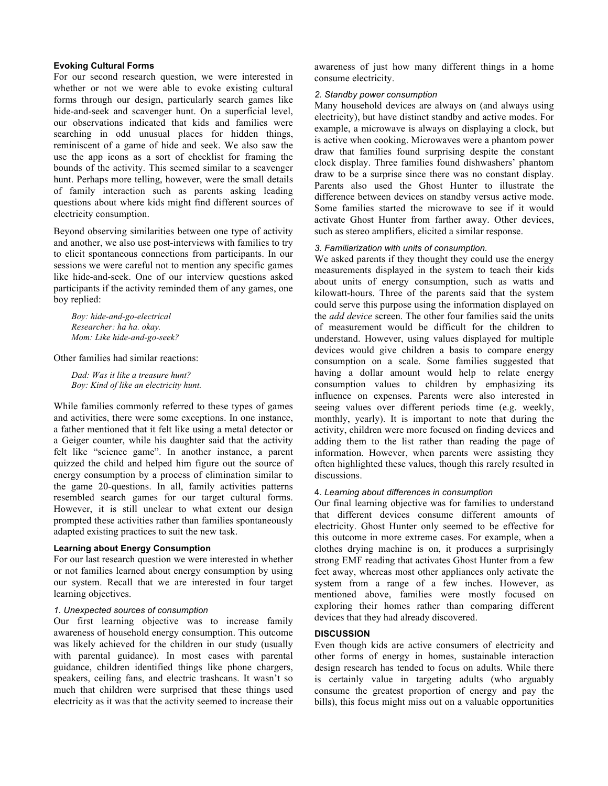# **Evoking Cultural Forms**

For our second research question, we were interested in whether or not we were able to evoke existing cultural forms through our design, particularly search games like hide-and-seek and scavenger hunt. On a superficial level, our observations indicated that kids and families were searching in odd unusual places for hidden things, reminiscent of a game of hide and seek. We also saw the use the app icons as a sort of checklist for framing the bounds of the activity. This seemed similar to a scavenger hunt. Perhaps more telling, however, were the small details of family interaction such as parents asking leading questions about where kids might find different sources of electricity consumption.

Beyond observing similarities between one type of activity and another, we also use post-interviews with families to try to elicit spontaneous connections from participants. In our sessions we were careful not to mention any specific games like hide-and-seek. One of our interview questions asked participants if the activity reminded them of any games, one boy replied:

*Boy: hide-and-go-electrical Researcher: ha ha. okay. Mom: Like hide-and-go-seek?*

Other families had similar reactions:

*Dad: Was it like a treasure hunt? Boy: Kind of like an electricity hunt.*

While families commonly referred to these types of games and activities, there were some exceptions. In one instance, a father mentioned that it felt like using a metal detector or a Geiger counter, while his daughter said that the activity felt like "science game". In another instance, a parent quizzed the child and helped him figure out the source of energy consumption by a process of elimination similar to the game 20-questions. In all, family activities patterns resembled search games for our target cultural forms. However, it is still unclear to what extent our design prompted these activities rather than families spontaneously adapted existing practices to suit the new task.

# **Learning about Energy Consumption**

For our last research question we were interested in whether or not families learned about energy consumption by using our system. Recall that we are interested in four target learning objectives.

#### *1. Unexpected sources of consumption*

Our first learning objective was to increase family awareness of household energy consumption. This outcome was likely achieved for the children in our study (usually with parental guidance). In most cases with parental guidance, children identified things like phone chargers, speakers, ceiling fans, and electric trashcans. It wasn't so much that children were surprised that these things used electricity as it was that the activity seemed to increase their awareness of just how many different things in a home consume electricity.

## *2. Standby power consumption*

Many household devices are always on (and always using electricity), but have distinct standby and active modes. For example, a microwave is always on displaying a clock, but is active when cooking. Microwaves were a phantom power draw that families found surprising despite the constant clock display. Three families found dishwashers' phantom draw to be a surprise since there was no constant display. Parents also used the Ghost Hunter to illustrate the difference between devices on standby versus active mode. Some families started the microwave to see if it would activate Ghost Hunter from farther away. Other devices, such as stereo amplifiers, elicited a similar response.

#### *3. Familiarization with units of consumption.*

We asked parents if they thought they could use the energy measurements displayed in the system to teach their kids about units of energy consumption, such as watts and kilowatt-hours. Three of the parents said that the system could serve this purpose using the information displayed on the *add device* screen. The other four families said the units of measurement would be difficult for the children to understand. However, using values displayed for multiple devices would give children a basis to compare energy consumption on a scale. Some families suggested that having a dollar amount would help to relate energy consumption values to children by emphasizing its influence on expenses. Parents were also interested in seeing values over different periods time (e.g. weekly, monthly, yearly). It is important to note that during the activity, children were more focused on finding devices and adding them to the list rather than reading the page of information. However, when parents were assisting they often highlighted these values, though this rarely resulted in discussions.

#### 4. *Learning about differences in consumption*

Our final learning objective was for families to understand that different devices consume different amounts of electricity. Ghost Hunter only seemed to be effective for this outcome in more extreme cases. For example, when a clothes drying machine is on, it produces a surprisingly strong EMF reading that activates Ghost Hunter from a few feet away, whereas most other appliances only activate the system from a range of a few inches. However, as mentioned above, families were mostly focused on exploring their homes rather than comparing different devices that they had already discovered.

#### **DISCUSSION**

Even though kids are active consumers of electricity and other forms of energy in homes, sustainable interaction design research has tended to focus on adults. While there is certainly value in targeting adults (who arguably consume the greatest proportion of energy and pay the bills), this focus might miss out on a valuable opportunities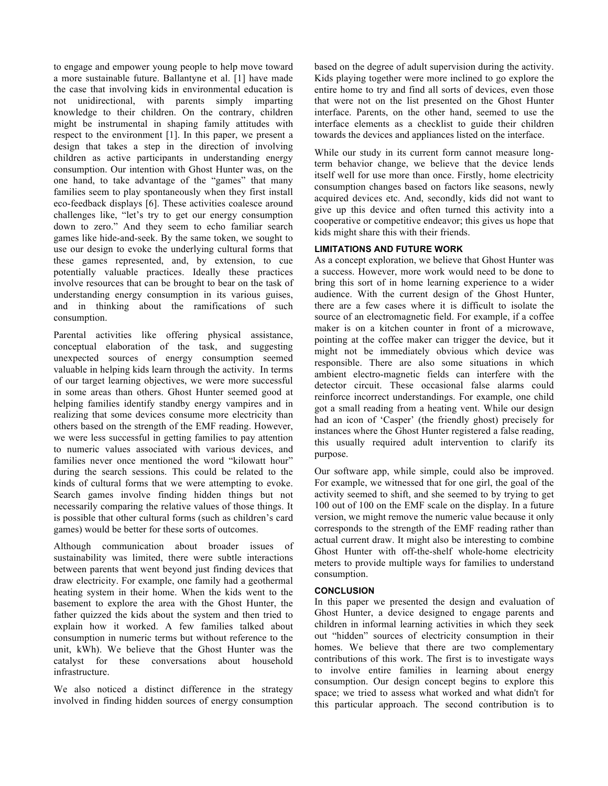to engage and empower young people to help move toward a more sustainable future. Ballantyne et al. [1] have made the case that involving kids in environmental education is not unidirectional, with parents simply imparting knowledge to their children. On the contrary, children might be instrumental in shaping family attitudes with respect to the environment [1]. In this paper, we present a design that takes a step in the direction of involving children as active participants in understanding energy consumption. Our intention with Ghost Hunter was, on the one hand, to take advantage of the "games" that many families seem to play spontaneously when they first install eco-feedback displays [6]. These activities coalesce around challenges like, "let's try to get our energy consumption down to zero." And they seem to echo familiar search games like hide-and-seek. By the same token, we sought to use our design to evoke the underlying cultural forms that these games represented, and, by extension, to cue potentially valuable practices. Ideally these practices involve resources that can be brought to bear on the task of understanding energy consumption in its various guises, and in thinking about the ramifications of such consumption.

Parental activities like offering physical assistance, conceptual elaboration of the task, and suggesting unexpected sources of energy consumption seemed valuable in helping kids learn through the activity. In terms of our target learning objectives, we were more successful in some areas than others. Ghost Hunter seemed good at helping families identify standby energy vampires and in realizing that some devices consume more electricity than others based on the strength of the EMF reading. However, we were less successful in getting families to pay attention to numeric values associated with various devices, and families never once mentioned the word "kilowatt hour" during the search sessions. This could be related to the kinds of cultural forms that we were attempting to evoke. Search games involve finding hidden things but not necessarily comparing the relative values of those things. It is possible that other cultural forms (such as children's card games) would be better for these sorts of outcomes.

Although communication about broader issues of sustainability was limited, there were subtle interactions between parents that went beyond just finding devices that draw electricity. For example, one family had a geothermal heating system in their home. When the kids went to the basement to explore the area with the Ghost Hunter, the father quizzed the kids about the system and then tried to explain how it worked. A few families talked about consumption in numeric terms but without reference to the unit, kWh). We believe that the Ghost Hunter was the catalyst for these conversations about household infrastructure.

We also noticed a distinct difference in the strategy involved in finding hidden sources of energy consumption based on the degree of adult supervision during the activity. Kids playing together were more inclined to go explore the entire home to try and find all sorts of devices, even those that were not on the list presented on the Ghost Hunter interface. Parents, on the other hand, seemed to use the interface elements as a checklist to guide their children towards the devices and appliances listed on the interface.

While our study in its current form cannot measure longterm behavior change, we believe that the device lends itself well for use more than once. Firstly, home electricity consumption changes based on factors like seasons, newly acquired devices etc. And, secondly, kids did not want to give up this device and often turned this activity into a cooperative or competitive endeavor; this gives us hope that kids might share this with their friends.

## **LIMITATIONS AND FUTURE WORK**

As a concept exploration, we believe that Ghost Hunter was a success. However, more work would need to be done to bring this sort of in home learning experience to a wider audience. With the current design of the Ghost Hunter, there are a few cases where it is difficult to isolate the source of an electromagnetic field. For example, if a coffee maker is on a kitchen counter in front of a microwave, pointing at the coffee maker can trigger the device, but it might not be immediately obvious which device was responsible. There are also some situations in which ambient electro-magnetic fields can interfere with the detector circuit. These occasional false alarms could reinforce incorrect understandings. For example, one child got a small reading from a heating vent. While our design had an icon of 'Casper' (the friendly ghost) precisely for instances where the Ghost Hunter registered a false reading, this usually required adult intervention to clarify its purpose.

Our software app, while simple, could also be improved. For example, we witnessed that for one girl, the goal of the activity seemed to shift, and she seemed to by trying to get 100 out of 100 on the EMF scale on the display. In a future version, we might remove the numeric value because it only corresponds to the strength of the EMF reading rather than actual current draw. It might also be interesting to combine Ghost Hunter with off-the-shelf whole-home electricity meters to provide multiple ways for families to understand consumption.

# **CONCLUSION**

In this paper we presented the design and evaluation of Ghost Hunter, a device designed to engage parents and children in informal learning activities in which they seek out "hidden" sources of electricity consumption in their homes. We believe that there are two complementary contributions of this work. The first is to investigate ways to involve entire families in learning about energy consumption. Our design concept begins to explore this space; we tried to assess what worked and what didn't for this particular approach. The second contribution is to